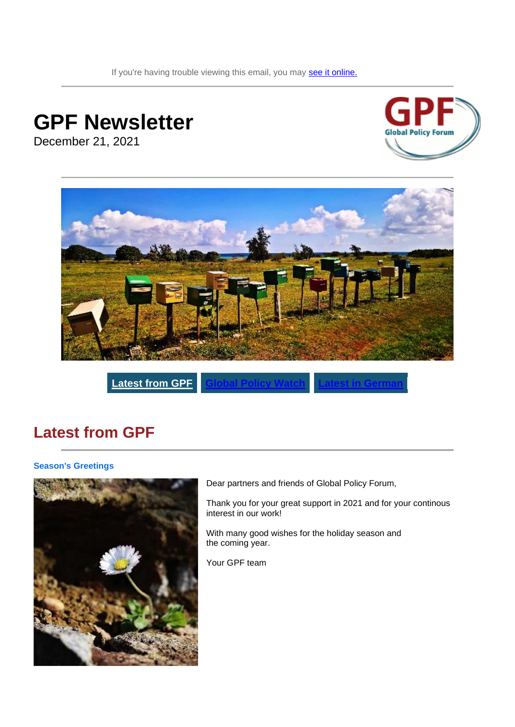If you're having trouble viewing this email, you may [see it online.](https://www.globalpolicy.org/en/newsletter-archive)

# **GPF Newsletter**

December 21, 2021





 $\overline{\text{Latest from GFP}}$ 

### <span id="page-0-0"></span>**Latest from GPF**

#### **Season's Greetings**



Dear partners and friends of Global Policy Forum,

Thank you for your great support in 2021 and for your continous interest in our work!

With many good wishes for the holiday season and the coming year.

Your GPF team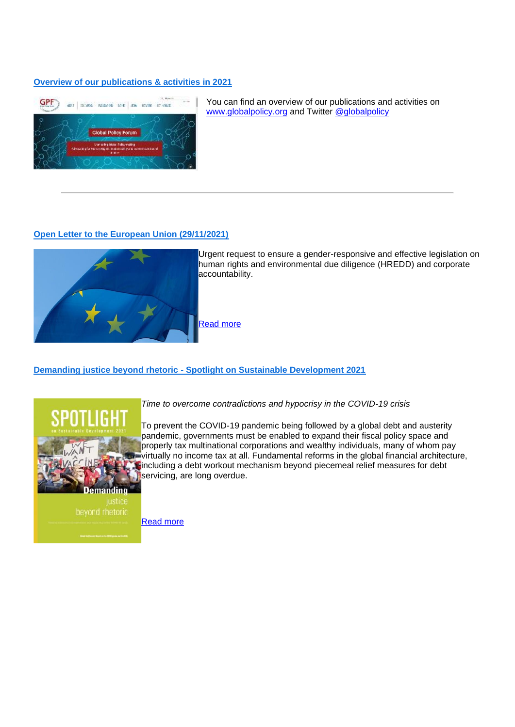#### **[Overview of our publications & activities in 2021](https://www.globalpolicy.org/)**



You can find an overview of our publications and activities on [www.globalpolicy.org](https://www.globalpolicy.org/) and Twitter @globalpolicy

#### **[Open Letter to the European Union \(29/11/2021\)](https://www.globalpolicy.org/en/news/2021-11-29/open-letter-european-union)**



Urgent request to ensure a gender-responsive and effective legislation on human rights and environmental due diligence (HREDD) and corporate accountability.

[Read more](https://www.globalpolicy.org/en/news/2021-11-29/open-letter-european-union)

**Demanding justice beyond rhetoric - [Spotlight on Sustainable Development 2021](https://www.globalpolicy.org/en/publication/demanding-justice-beyond-rhetoric)**



*Time to overcome contradictions and hypocrisy in the COVID-19 crisis* 

To prevent the COVID-19 pandemic being followed by a global debt and austerity pandemic, governments must be enabled to expand their fiscal policy space and properly tax multinational corporations and wealthy individuals, many of whom pay virtually no income tax at all. Fundamental reforms in the global financial architecture, including a debt workout mechanism beyond piecemeal relief measures for debt servicing, are long overdue.

[Read more](https://www.globalpolicy.org/en/publication/demanding-justice-beyond-rhetoric)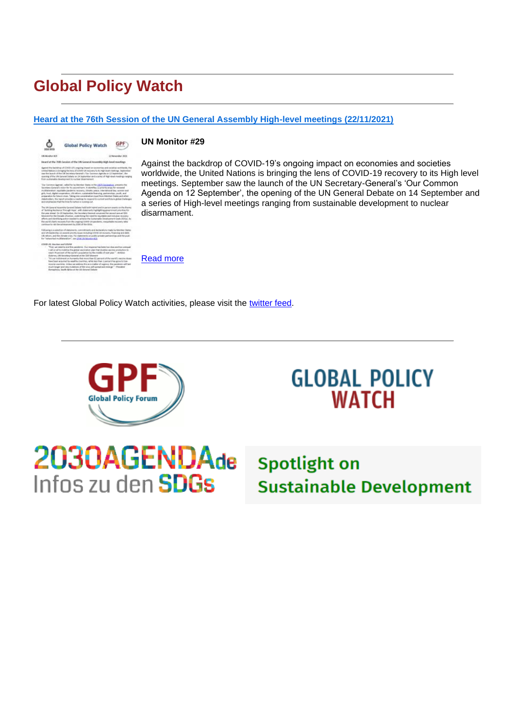### <span id="page-2-0"></span>**Global Policy Watch**

#### **[Heard at the 76th Session of the UN General Assembly High-level meetings \(22/11/2021\)](https://www.globalpolicy.org/en/publication/heard-76th-session-un-general-assembly-high-level-meetings)**

|                                            | <b>Global Policy Watch</b>                                                                                                                                                                                                                                                                                                                                                                                                                                                                                                                                                                                                                                                                                                                                 |  |
|--------------------------------------------|------------------------------------------------------------------------------------------------------------------------------------------------------------------------------------------------------------------------------------------------------------------------------------------------------------------------------------------------------------------------------------------------------------------------------------------------------------------------------------------------------------------------------------------------------------------------------------------------------------------------------------------------------------------------------------------------------------------------------------------------------------|--|
| ENHANAMENT ROS                             | 20 November 3014                                                                                                                                                                                                                                                                                                                                                                                                                                                                                                                                                                                                                                                                                                                                           |  |
|                                            | Heard at the 76th Senaton of the UN General Annexidity High-layel meetings                                                                                                                                                                                                                                                                                                                                                                                                                                                                                                                                                                                                                                                                                 |  |
|                                            | Against the backdrop of COVIS-LIFs engoing linpact on occasionies and sociation workshook. The<br>United Nations' is broughardly here of COVID-13 resovery to its Hall-Nich level meetings, bestending<br>saur the Soundr of the US Secretary-General's 'Our Convenirs Agenda on L2 September', Net<br>consing of the EN General Debate on 1A September and a series of High-load standings ranging<br>Instrumentally dealers of manuscripts side reserves related                                                                                                                                                                                                                                                                                         |  |
|                                            | Our Common Agenda', called for the Member Material Him LAI'S Exclusion, presents the<br>Secretary General's vision for his second term. It identifies (2 priority were for nevewed<br>inuiteliatentinon, aspitalde cardiache; necesaris, chinatis; peace, ridericalminal fasc-scoreen and<br>pits foul. Splatongerators LS/reform suitainable financing partnerships south, and<br>preparation for future cross. Tableg tres consideration stype from blentium Oakes and other<br>realished for the region provider a reaching to respond to current and future ploted challenges<br>and emphasizes that the time for action is number out.                                                                                                                |  |
|                                            | The 199 General Assembly General Oxfords hald both in bind and in carron sweets on the finance<br>of Suitsing Resilience Through Heps", with statements highlighting government priorities for<br>the year should Cry 20 September, the Secretary-General compensation second annual CDG<br>blowsed for the Decade of Action, underlining the road for muchains and inclusive recovery.<br>efforts and identifying action needed to achieve the Scotainable Oevalopment Goals (60Gd). As<br>the world charts recovers from the organizations of pandemic, requestable requirery rates<br>continue to risk the achievement by 2000 of the 2001.                                                                                                             |  |
|                                            | Following is a selection of statements, commitments and declarations made by Mandez States<br>and UN basischip on exventisitority stoat including COVID-18 recovers. Francisc and debt.<br>Likewhere, and the classic crists. For elatements an public pricele partnerships and the push.<br>for Transported multiplement on "see (27W) its Monster #15<br>----                                                                                                                                                                                                                                                                                                                                                                                            |  |
| COVEN 28, Viscolates and COVER<br>18<br>60 | "Yout, une capacity and this paralames. Due response has keep but shot and but pressured.<br>trail as all to mobilize the plotel vectorian plan that doubles section production to<br>reach 70 percent of the world's population by the middle of next year." - winning<br>Eulerum, Old Societisco Grooval of the SSS University<br>"It is an indictment on humanity that more than \$2 percent of the world's excite design.<br>have been acquired by wealthy countries, while less than it percent has gone to loan-<br>monte countres. Shiess are address this as a matter of uspency. The panderets will last<br>much larger and use mulations of the crop, adj taxend and even ps." - Postdesi-<br>Remarkees, Sauth Alfrica at the Chi Ground Oxfords |  |

#### **UN Monitor #29**

Against the backdrop of COVID-19's ongoing impact on economies and societies worldwide, the United Nations is bringing the lens of COVID-19 recovery to its High level meetings. September saw the launch of the UN Secretary-General's 'Our Common Agenda on 12 September', the opening of the UN General Debate on 14 September and a series of High-level meetings ranging from sustainable development to nuclear disarmament.

[Read more](https://www.globalpolicy.org/en/publication/heard-76th-session-un-general-assembly-high-level-meetings)

For latest Global Policy Watch activities, please visit the [twitter feed.](https://twitter.com/gpolicywatch)



Infos zu den **SDGs** 

## **GLOBAL POLICY WATCH**

2030AGENDAde Spotlight on **Sustainable Development**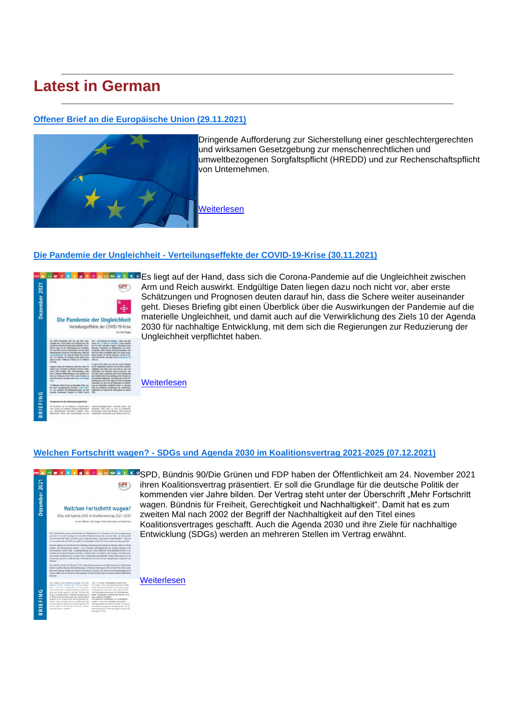### <span id="page-3-0"></span>**Latest in German**

#### **[Offener Brief an die Europäische Union \(29.11.2021\)](https://www.globalpolicy.org/de/news/2021-11-29/offener-brief-die-europaeische-union)**



Dringende Aufforderung zur Sicherstellung einer geschlechtergerechten und wirksamen Gesetzgebung zur menschenrechtlichen und umweltbezogenen Sorgfaltspflicht (HREDD) und zur Rechenschaftspflicht von Unternehmen.

[Weiterlesen](https://www.globalpolicy.org/de/news/2021-11-29/offener-brief-die-europaeische-union)

#### **Die Pandemie der Ungleichheit - [Verteilungseffekte der COVID-19-Krise \(30.11.2021\)](https://www.globalpolicy.org/de/publication/die-pandemie-der-ungleichheit)**



**ER BINDER XDES liegt auf der Hand, dass sich die Corona-Pandemie auf die Ungleichheit zwischen** Arm und Reich auswirkt. Endgültige Daten liegen dazu noch nicht vor, aber erste Schätzungen und Prognosen deuten darauf hin, dass die Schere weiter auseinander geht. Dieses Briefing gibt einen Überblick über die Auswirkungen der Pandemie auf die materielle Ungleichheit, und damit auch auf die Verwirklichung des Ziels 10 der Agenda 2030 für nachhaltige Entwicklung, mit dem sich die Regierungen zur Reduzierung der Ungleichheit verpflichtet haben.

**[Weiterlesen](https://www.globalpolicy.org/de/publication/die-pandemie-der-ungleichheit)** 

#### **Welchen Fortschritt wagen? - [SDGs und Agenda 2030 im Koalitionsvertrag 2021-2025 \(07.12.2021\)](https://www.globalpolicy.org/de/publication/welchen-fortschritt-wagen)**



SPD, Bündnis 90/Die Grünen und FDP haben der Öffentlichkeit am 24. November 2021 ihren Koalitionsvertrag präsentiert. Er soll die Grundlage für die deutsche Politik der kommenden vier Jahre bilden. Der Vertrag steht unter der Überschrift "Mehr Fortschritt wagen. Bündnis für Freiheit, Gerechtigkeit und Nachhaltigkeit". Damit hat es zum zweiten Mal nach 2002 der Begriff der Nachhaltigkeit auf den Titel eines Koalitionsvertrages geschafft. Auch die Agenda 2030 und ihre Ziele für nachhaltige Entwicklung (SDGs) werden an mehreren Stellen im Vertrag erwähnt.

**[Weiterlesen](https://www.globalpolicy.org/de/publication/welchen-fortschritt-wagen)**